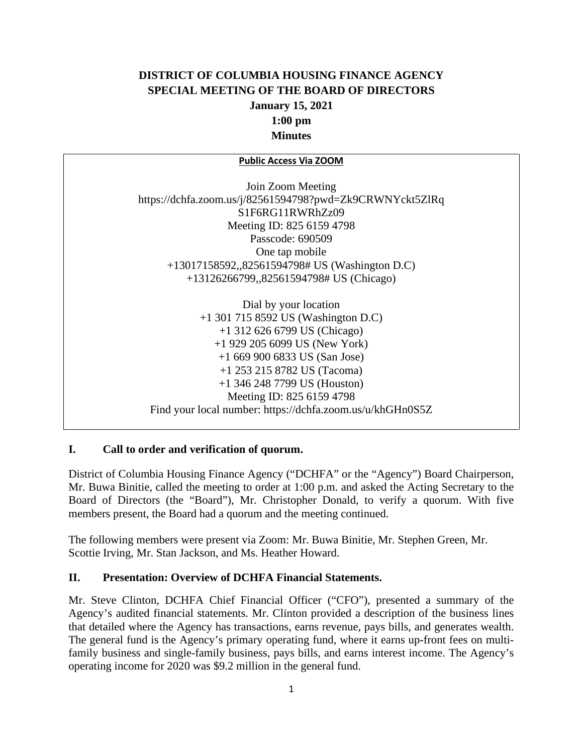# **DISTRICT OF COLUMBIA HOUSING FINANCE AGENCY SPECIAL MEETING OF THE BOARD OF DIRECTORS January 15, 2021 1:00 pm Minutes**

#### **Public Access Via ZOOM**

Join Zoom Meeting https://dchfa.zoom.us/j/82561594798?pwd=Zk9CRWNYckt5ZlRq S1F6RG11RWRhZz09 Meeting ID: 825 6159 4798 Passcode: 690509 One tap mobile +13017158592,,82561594798# US (Washington D.C) +13126266799,,82561594798# US (Chicago)

Dial by your location +1 301 715 8592 US (Washington D.C) +1 312 626 6799 US (Chicago) +1 929 205 6099 US (New York) +1 669 900 6833 US (San Jose) +1 253 215 8782 US (Tacoma) +1 346 248 7799 US (Houston) Meeting ID: 825 6159 4798 Find your local number: https://dchfa.zoom.us/u/khGHn0S5Z

## **I. Call to order and verification of quorum.**

District of Columbia Housing Finance Agency ("DCHFA" or the "Agency") Board Chairperson, Mr. Buwa Binitie, called the meeting to order at 1:00 p.m. and asked the Acting Secretary to the Board of Directors (the "Board"), Mr. Christopher Donald, to verify a quorum. With five members present, the Board had a quorum and the meeting continued.

The following members were present via Zoom: Mr. Buwa Binitie, Mr. Stephen Green, Mr. Scottie Irving, Mr. Stan Jackson, and Ms. Heather Howard.

### **II. Presentation: Overview of DCHFA Financial Statements.**

Mr. Steve Clinton, DCHFA Chief Financial Officer ("CFO"), presented a summary of the Agency's audited financial statements. Mr. Clinton provided a description of the business lines that detailed where the Agency has transactions, earns revenue, pays bills, and generates wealth. The general fund is the Agency's primary operating fund, where it earns up-front fees on multifamily business and single-family business, pays bills, and earns interest income. The Agency's operating income for 2020 was \$9.2 million in the general fund.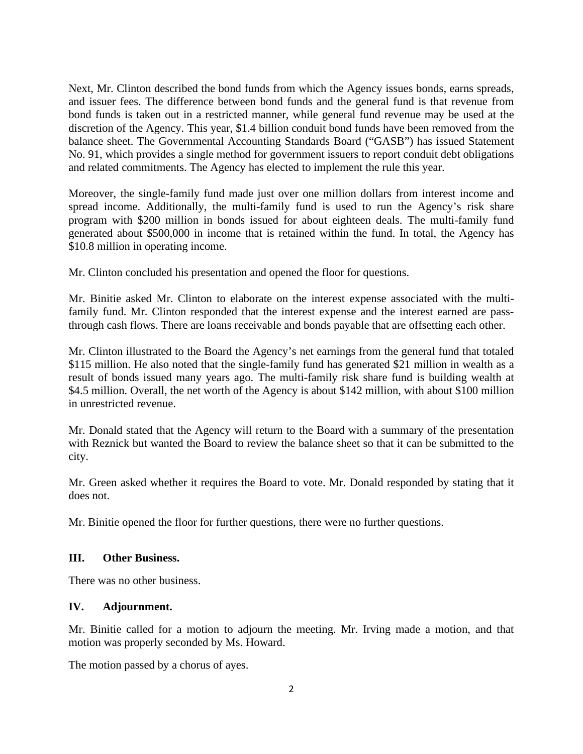Next, Mr. Clinton described the bond funds from which the Agency issues bonds, earns spreads, and issuer fees. The difference between bond funds and the general fund is that revenue from bond funds is taken out in a restricted manner, while general fund revenue may be used at the discretion of the Agency. This year, \$1.4 billion conduit bond funds have been removed from the balance sheet. The Governmental Accounting Standards Board ("GASB") has issued Statement No. 91, which provides a single method for government issuers to report conduit debt obligations and related commitments. The Agency has elected to implement the rule this year.

Moreover, the single-family fund made just over one million dollars from interest income and spread income. Additionally, the multi-family fund is used to run the Agency's risk share program with \$200 million in bonds issued for about eighteen deals. The multi-family fund generated about \$500,000 in income that is retained within the fund. In total, the Agency has \$10.8 million in operating income.

Mr. Clinton concluded his presentation and opened the floor for questions.

Mr. Binitie asked Mr. Clinton to elaborate on the interest expense associated with the multifamily fund. Mr. Clinton responded that the interest expense and the interest earned are passthrough cash flows. There are loans receivable and bonds payable that are offsetting each other.

Mr. Clinton illustrated to the Board the Agency's net earnings from the general fund that totaled \$115 million. He also noted that the single-family fund has generated \$21 million in wealth as a result of bonds issued many years ago. The multi-family risk share fund is building wealth at \$4.5 million. Overall, the net worth of the Agency is about \$142 million, with about \$100 million in unrestricted revenue.

Mr. Donald stated that the Agency will return to the Board with a summary of the presentation with Reznick but wanted the Board to review the balance sheet so that it can be submitted to the city.

Mr. Green asked whether it requires the Board to vote. Mr. Donald responded by stating that it does not.

Mr. Binitie opened the floor for further questions, there were no further questions.

## **III. Other Business.**

There was no other business.

## **IV. Adjournment.**

Mr. Binitie called for a motion to adjourn the meeting. Mr. Irving made a motion, and that motion was properly seconded by Ms. Howard.

The motion passed by a chorus of ayes.